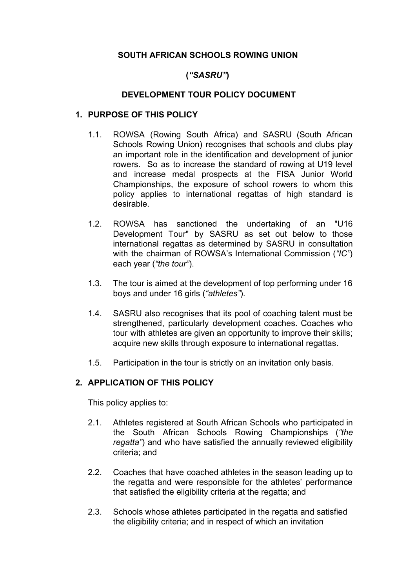## **SOUTH AFRICAN SCHOOLS ROWING UNION**

# **(***"SASRU"***)**

### **DEVELOPMENT TOUR POLICY DOCUMENT**

### **1. PURPOSE OF THIS POLICY**

- 1.1. ROWSA (Rowing South Africa) and SASRU (South African Schools Rowing Union) recognises that schools and clubs play an important role in the identification and development of junior rowers. So as to increase the standard of rowing at U19 level and increase medal prospects at the FISA Junior World Championships, the exposure of school rowers to whom this policy applies to international regattas of high standard is desirable.
- 1.2. ROWSA has sanctioned the undertaking of an "U16 Development Tour" by SASRU as set out below to those international regattas as determined by SASRU in consultation with the chairman of ROWSA's International Commission (*"IC"*) each year (*"the tour"*).
- 1.3. The tour is aimed at the development of top performing under 16 boys and under 16 girls (*"athletes"*).
- 1.4. SASRU also recognises that its pool of coaching talent must be strengthened, particularly development coaches. Coaches who tour with athletes are given an opportunity to improve their skills; acquire new skills through exposure to international regattas.
- 1.5. Participation in the tour is strictly on an invitation only basis.

### **2. APPLICATION OF THIS POLICY**

This policy applies to:

- 2.1. Athletes registered at South African Schools who participated in the South African Schools Rowing Championships (*"the regatta"*) and who have satisfied the annually reviewed eligibility criteria; and
- 2.2. Coaches that have coached athletes in the season leading up to the regatta and were responsible for the athletes' performance that satisfied the eligibility criteria at the regatta; and
- 2.3. Schools whose athletes participated in the regatta and satisfied the eligibility criteria; and in respect of which an invitation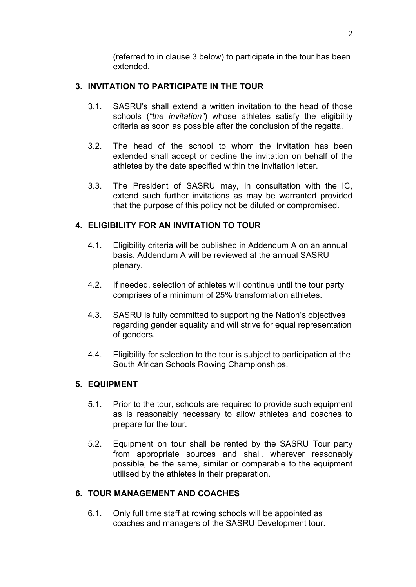(referred to in clause 3 below) to participate in the tour has been extended.

### **3. INVITATION TO PARTICIPATE IN THE TOUR**

- 3.1. SASRU's shall extend a written invitation to the head of those schools (*"the invitation"*) whose athletes satisfy the eligibility criteria as soon as possible after the conclusion of the regatta.
- 3.2. The head of the school to whom the invitation has been extended shall accept or decline the invitation on behalf of the athletes by the date specified within the invitation letter.
- 3.3. The President of SASRU may, in consultation with the IC, extend such further invitations as may be warranted provided that the purpose of this policy not be diluted or compromised.

### **4. ELIGIBILITY FOR AN INVITATION TO TOUR**

- 4.1. Eligibility criteria will be published in Addendum A on an annual basis. Addendum A will be reviewed at the annual SASRU plenary.
- 4.2. If needed, selection of athletes will continue until the tour party comprises of a minimum of 25% transformation athletes.
- 4.3. SASRU is fully committed to supporting the Nation's objectives regarding gender equality and will strive for equal representation of genders.
- 4.4. Eligibility for selection to the tour is subject to participation at the South African Schools Rowing Championships.

### **5. EQUIPMENT**

- 5.1. Prior to the tour, schools are required to provide such equipment as is reasonably necessary to allow athletes and coaches to prepare for the tour.
- 5.2. Equipment on tour shall be rented by the SASRU Tour party from appropriate sources and shall, wherever reasonably possible, be the same, similar or comparable to the equipment utilised by the athletes in their preparation.

### **6. TOUR MANAGEMENT AND COACHES**

6.1. Only full time staff at rowing schools will be appointed as coaches and managers of the SASRU Development tour.